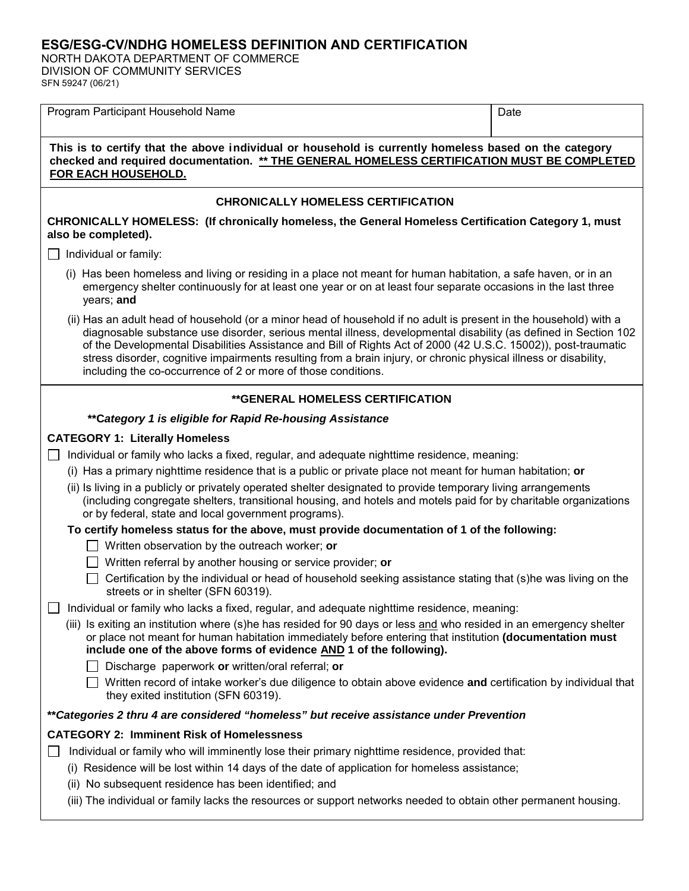## **ESG/ESG-CV/NDHG HOMELESS DEFINITION AND CERTIFICATION**

NORTH DAKOTA DEPARTMENT OF COMMERCE DIVISION OF COMMUNITY SERVICES SFN 59247 (06/21)

| Program Participant Household Name                                                                                                                                                                                                                                                                                                                                                                                                                                                                                                          | Date |  |
|---------------------------------------------------------------------------------------------------------------------------------------------------------------------------------------------------------------------------------------------------------------------------------------------------------------------------------------------------------------------------------------------------------------------------------------------------------------------------------------------------------------------------------------------|------|--|
|                                                                                                                                                                                                                                                                                                                                                                                                                                                                                                                                             |      |  |
| This is to certify that the above individual or household is currently homeless based on the category<br>checked and required documentation. ** THE GENERAL HOMELESS CERTIFICATION MUST BE COMPLETED<br>FOR EACH HOUSEHOLD.                                                                                                                                                                                                                                                                                                                 |      |  |
| <b>CHRONICALLY HOMELESS CERTIFICATION</b>                                                                                                                                                                                                                                                                                                                                                                                                                                                                                                   |      |  |
| CHRONICALLY HOMELESS: (If chronically homeless, the General Homeless Certification Category 1, must<br>also be completed).                                                                                                                                                                                                                                                                                                                                                                                                                  |      |  |
| Individual or family:                                                                                                                                                                                                                                                                                                                                                                                                                                                                                                                       |      |  |
| (i) Has been homeless and living or residing in a place not meant for human habitation, a safe haven, or in an<br>emergency shelter continuously for at least one year or on at least four separate occasions in the last three<br>years; and                                                                                                                                                                                                                                                                                               |      |  |
| (ii) Has an adult head of household (or a minor head of household if no adult is present in the household) with a<br>diagnosable substance use disorder, serious mental illness, developmental disability (as defined in Section 102<br>of the Developmental Disabilities Assistance and Bill of Rights Act of 2000 (42 U.S.C. 15002)), post-traumatic<br>stress disorder, cognitive impairments resulting from a brain injury, or chronic physical illness or disability,<br>including the co-occurrence of 2 or more of those conditions. |      |  |
| <b>**GENERAL HOMELESS CERTIFICATION</b>                                                                                                                                                                                                                                                                                                                                                                                                                                                                                                     |      |  |
| ** Category 1 is eligible for Rapid Re-housing Assistance                                                                                                                                                                                                                                                                                                                                                                                                                                                                                   |      |  |
| <b>CATEGORY 1: Literally Homeless</b>                                                                                                                                                                                                                                                                                                                                                                                                                                                                                                       |      |  |
| Individual or family who lacks a fixed, regular, and adequate nighttime residence, meaning:                                                                                                                                                                                                                                                                                                                                                                                                                                                 |      |  |
| (i) Has a primary nighttime residence that is a public or private place not meant for human habitation; or                                                                                                                                                                                                                                                                                                                                                                                                                                  |      |  |
| (ii) Is living in a publicly or privately operated shelter designated to provide temporary living arrangements<br>(including congregate shelters, transitional housing, and hotels and motels paid for by charitable organizations<br>or by federal, state and local government programs).                                                                                                                                                                                                                                                  |      |  |
| To certify homeless status for the above, must provide documentation of 1 of the following:                                                                                                                                                                                                                                                                                                                                                                                                                                                 |      |  |
| Written observation by the outreach worker; or                                                                                                                                                                                                                                                                                                                                                                                                                                                                                              |      |  |
| Written referral by another housing or service provider; or                                                                                                                                                                                                                                                                                                                                                                                                                                                                                 |      |  |
| Certification by the individual or head of household seeking assistance stating that (s)he was living on the<br>streets or in shelter (SFN 60319).                                                                                                                                                                                                                                                                                                                                                                                          |      |  |
| Individual or family who lacks a fixed, regular, and adequate nighttime residence, meaning:                                                                                                                                                                                                                                                                                                                                                                                                                                                 |      |  |
| (iii) Is exiting an institution where (s)he has resided for 90 days or less and who resided in an emergency shelter<br>or place not meant for human habitation immediately before entering that institution (documentation must<br>include one of the above forms of evidence AND 1 of the following).                                                                                                                                                                                                                                      |      |  |
| Discharge paperwork or written/oral referral; or                                                                                                                                                                                                                                                                                                                                                                                                                                                                                            |      |  |
| Written record of intake worker's due diligence to obtain above evidence and certification by individual that<br>they exited institution (SFN 60319).                                                                                                                                                                                                                                                                                                                                                                                       |      |  |
| **Categories 2 thru 4 are considered "homeless" but receive assistance under Prevention                                                                                                                                                                                                                                                                                                                                                                                                                                                     |      |  |
| <b>CATEGORY 2: Imminent Risk of Homelessness</b>                                                                                                                                                                                                                                                                                                                                                                                                                                                                                            |      |  |
| Individual or family who will imminently lose their primary nighttime residence, provided that:                                                                                                                                                                                                                                                                                                                                                                                                                                             |      |  |
| (i) Residence will be lost within 14 days of the date of application for homeless assistance;                                                                                                                                                                                                                                                                                                                                                                                                                                               |      |  |
| (ii) No subsequent residence has been identified; and                                                                                                                                                                                                                                                                                                                                                                                                                                                                                       |      |  |
| (iii) The individual or family lacks the resources or support networks needed to obtain other permanent housing.                                                                                                                                                                                                                                                                                                                                                                                                                            |      |  |